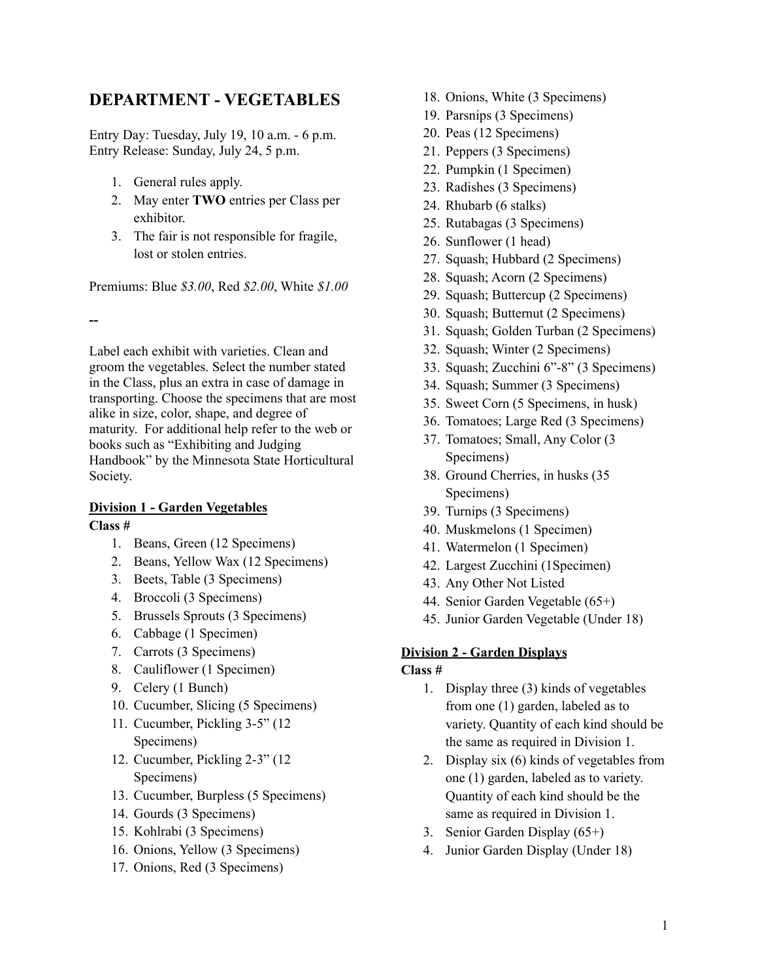## **DEPARTMENT - VEGETABLES**

Entry Day: Tuesday, July 19, 10 a.m. - 6 p.m. Entry Release: Sunday, July 24, 5 p.m.

- 1. General rules apply.
- 2. May enter **TWO** entries per Class per exhibitor.
- 3. The fair is not responsible for fragile, lost or stolen entries.

Premiums: Blue *\$3.00*, Red *\$2.00*, White *\$1.00*

**--**

Label each exhibit with varieties. Clean and groom the vegetables. Select the number stated in the Class, plus an extra in case of damage in transporting. Choose the specimens that are most alike in size, color, shape, and degree of maturity. For additional help refer to the web or books such as "Exhibiting and Judging Handbook" by the Minnesota State Horticultural Society.

## **Division 1 - Garden Vegetables**

**Class #**

- 1. Beans, Green (12 Specimens)
- 2. Beans, Yellow Wax (12 Specimens)
- 3. Beets, Table (3 Specimens)
- 4. Broccoli (3 Specimens)
- 5. Brussels Sprouts (3 Specimens)
- 6. Cabbage (1 Specimen)
- 7. Carrots (3 Specimens)
- 8. Cauliflower (1 Specimen)
- 9. Celery (1 Bunch)
- 10. Cucumber, Slicing (5 Specimens)
- 11. Cucumber, Pickling 3-5" (12 Specimens)
- 12. Cucumber, Pickling 2-3" (12 Specimens)
- 13. Cucumber, Burpless (5 Specimens)
- 14. Gourds (3 Specimens)
- 15. Kohlrabi (3 Specimens)
- 16. Onions, Yellow (3 Specimens)
- 17. Onions, Red (3 Specimens)
- 18. Onions, White (3 Specimens)
- 19. Parsnips (3 Specimens)
- 20. Peas (12 Specimens)
- 21. Peppers (3 Specimens)
- 22. Pumpkin (1 Specimen)
- 23. Radishes (3 Specimens)
- 24. Rhubarb (6 stalks)
- 25. Rutabagas (3 Specimens)
- 26. Sunflower (1 head)
- 27. Squash; Hubbard (2 Specimens)
- 28. Squash; Acorn (2 Specimens)
- 29. Squash; Buttercup (2 Specimens)
- 30. Squash; Butternut (2 Specimens)
- 31. Squash; Golden Turban (2 Specimens)
- 32. Squash; Winter (2 Specimens)
- 33. Squash; Zucchini 6"-8" (3 Specimens)
- 34. Squash; Summer (3 Specimens)
- 35. Sweet Corn (5 Specimens, in husk)
- 36. Tomatoes; Large Red (3 Specimens)
- 37. Tomatoes; Small, Any Color (3 Specimens)
- 38. Ground Cherries, in husks (35 Specimens)
- 39. Turnips (3 Specimens)
- 40. Muskmelons (1 Specimen)
- 41. Watermelon (1 Specimen)
- 42. Largest Zucchini (1Specimen)
- 43. Any Other Not Listed
- 44. Senior Garden Vegetable (65+)
- 45. Junior Garden Vegetable (Under 18)

## **Division 2 - Garden Displays**

- **Class #**
	- 1. Display three (3) kinds of vegetables from one (1) garden, labeled as to variety. Quantity of each kind should be the same as required in Division 1.
	- 2. Display six (6) kinds of vegetables from one (1) garden, labeled as to variety. Quantity of each kind should be the same as required in Division 1.
	- 3. Senior Garden Display (65+)
	- 4. Junior Garden Display (Under 18)